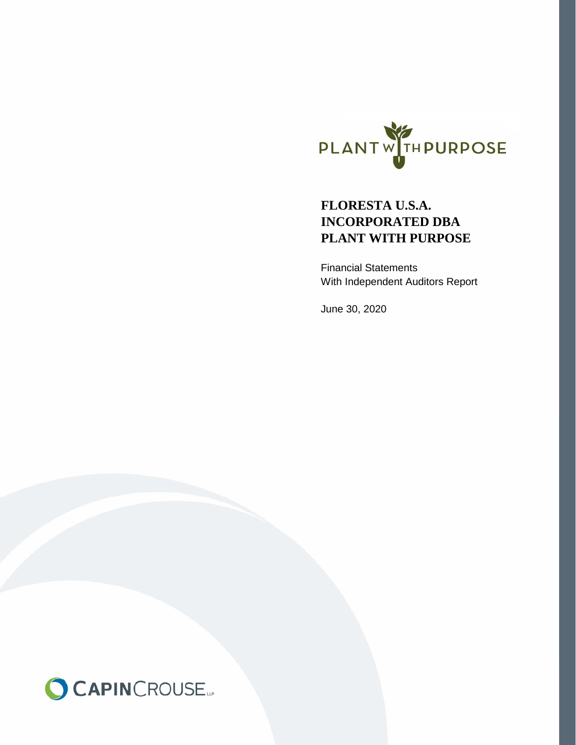

# **INCORPORATED DBA FLORESTA U.S.A. PLANT WITH PURPOSE**

Financial Statements With Independent Auditors Report

June 30, 2020

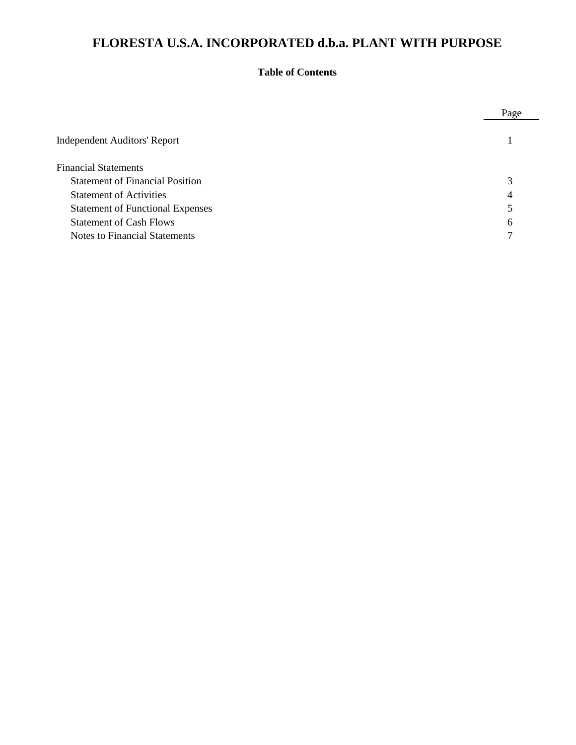# **Table of Contents**

|                                         | Page |
|-----------------------------------------|------|
| <b>Independent Auditors' Report</b>     |      |
| <b>Financial Statements</b>             |      |
| <b>Statement of Financial Position</b>  | 3    |
| <b>Statement of Activities</b>          | 4    |
| <b>Statement of Functional Expenses</b> | 5    |
| <b>Statement of Cash Flows</b>          | 6    |
| <b>Notes to Financial Statements</b>    | ⇁    |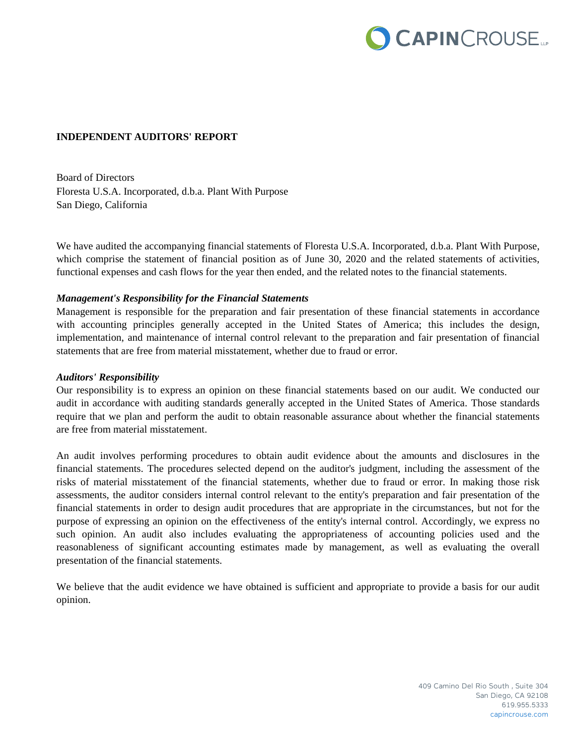

# **INDEPENDENT AUDITORS' REPORT**

Board of Directors Floresta U.S.A. Incorporated, d.b.a. Plant With Purpose San Diego, California

We have audited the accompanying financial statements of Floresta U.S.A. Incorporated, d.b.a. Plant With Purpose, which comprise the statement of financial position as of June 30, 2020 and the related statements of activities, functional expenses and cash flows for the year then ended, and the related notes to the financial statements.

#### *Management's Responsibility for the Financial Statements*

Management is responsible for the preparation and fair presentation of these financial statements in accordance with accounting principles generally accepted in the United States of America; this includes the design, implementation, and maintenance of internal control relevant to the preparation and fair presentation of financial statements that are free from material misstatement, whether due to fraud or error.

#### *Auditors' Responsibility*

Our responsibility is to express an opinion on these financial statements based on our audit. We conducted our audit in accordance with auditing standards generally accepted in the United States of America. Those standards require that we plan and perform the audit to obtain reasonable assurance about whether the financial statements are free from material misstatement.

An audit involves performing procedures to obtain audit evidence about the amounts and disclosures in the financial statements. The procedures selected depend on the auditor's judgment, including the assessment of the risks of material misstatement of the financial statements, whether due to fraud or error. In making those risk assessments, the auditor considers internal control relevant to the entity's preparation and fair presentation of the financial statements in order to design audit procedures that are appropriate in the circumstances, but not for the purpose of expressing an opinion on the effectiveness of the entity's internal control. Accordingly, we express no such opinion. An audit also includes evaluating the appropriateness of accounting policies used and the reasonableness of significant accounting estimates made by management, as well as evaluating the overall presentation of the financial statements.

We believe that the audit evidence we have obtained is sufficient and appropriate to provide a basis for our audit opinion.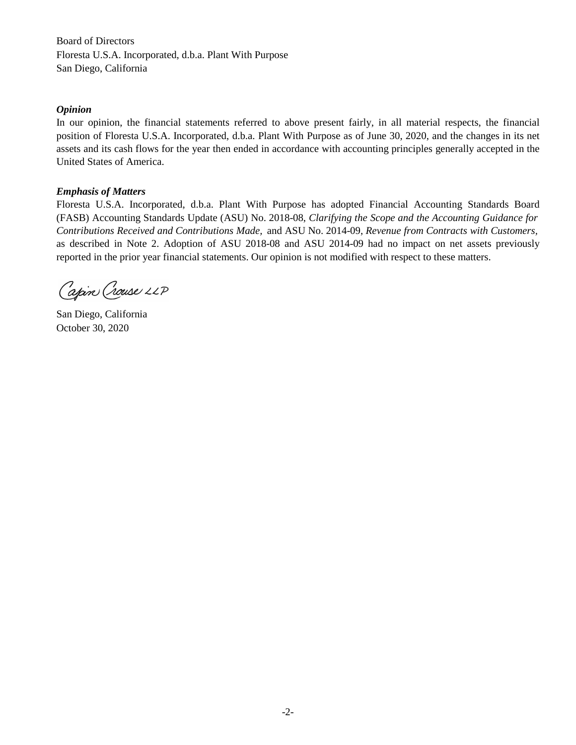Financial statements are the responsibility of the organization of the organization of  $\overline{D}$  responsibility is to express an age of  $\overline{D}$  responsibility is to express an age of  $\overline{D}$  responsibility is to express a Floresta U.S.A. Incorporated, d.b.a. Plant With Purpose San Diego, California

#### *Opinion*  $$

In our opinion, the financial statements referred to above present fairly, in all material respects, the financial position of Floresta U.S.A. Incorporated, d.b.a. Plant With Purpose as of June 30, 2020, and the changes in its net assets and its cash flows for the year then ended in accordance with accounting principles generally accepted in the United States of America.<br>

# *Emphasis of Matters*

Floresta U.S.A. Incorporated, d.b.a. Plant With Purpose has adopted Financial Accounting Standards Board (FASB) Accounting Standards Update (ASU) No. 2018-08, Clarifying the Scope and the Accounting Guidance for Contributions Received and Contributions Made, and ASU No. 2014-09, Revenue from Contracts with Customers, as described in Note 2. Adoption of ASU 2018-08 and ASU 2014-09 had no impact on net assets previously reported in the prior year financial statements. Our opinion is not modified with respect to these matters.

Capin Crouse LLP

San Diego, California October 30, 2020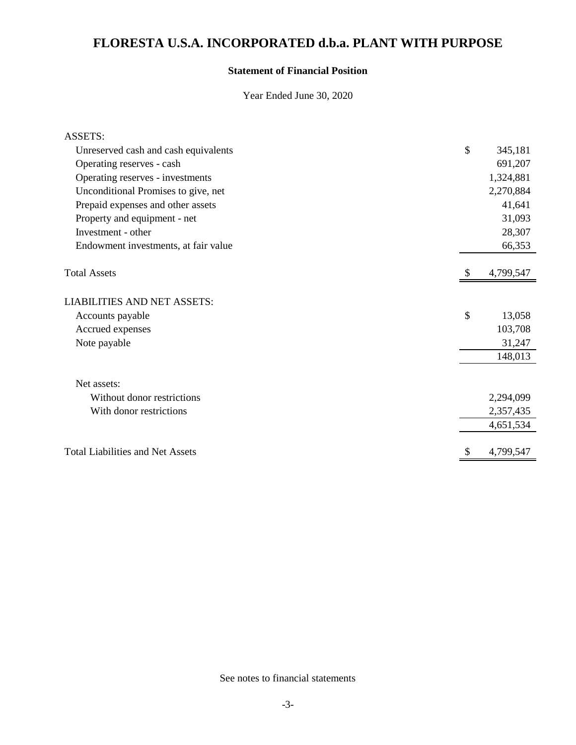# **Statement of Financial Position**

Year Ended June 30, 2020

| <b>ASSETS:</b>                          |                 |
|-----------------------------------------|-----------------|
| Unreserved cash and cash equivalents    | \$<br>345,181   |
| Operating reserves - cash               | 691,207         |
| Operating reserves - investments        | 1,324,881       |
| Unconditional Promises to give, net     | 2,270,884       |
| Prepaid expenses and other assets       | 41,641          |
| Property and equipment - net            | 31,093          |
| Investment - other                      | 28,307          |
| Endowment investments, at fair value    | 66,353          |
| <b>Total Assets</b>                     | 4,799,547       |
| <b>LIABILITIES AND NET ASSETS:</b>      |                 |
| Accounts payable                        | \$<br>13,058    |
| Accrued expenses                        | 103,708         |
| Note payable                            | 31,247          |
|                                         | 148,013         |
| Net assets:                             |                 |
| Without donor restrictions              | 2,294,099       |
| With donor restrictions                 | 2,357,435       |
|                                         | 4,651,534       |
| <b>Total Liabilities and Net Assets</b> | \$<br>4,799,547 |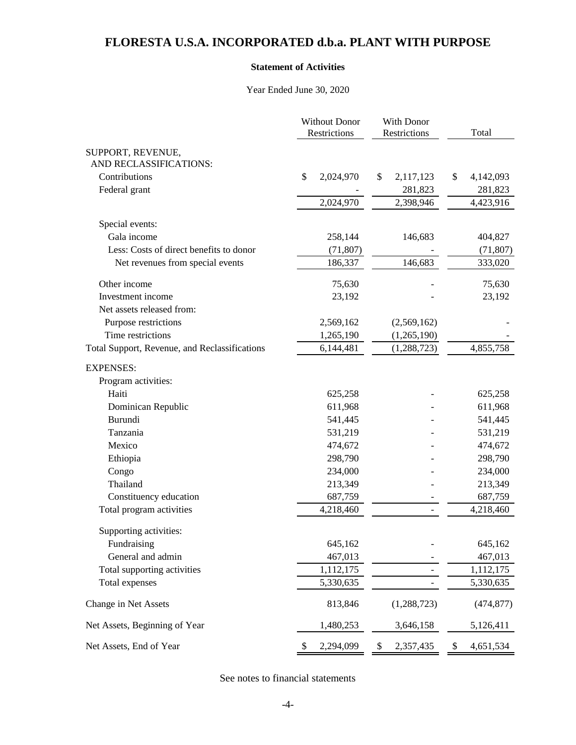#### **Statement of Activities**

Year Ended June 30, 2020

|                                               | <b>Without Donor</b><br>Restrictions | With Donor<br>Restrictions | Total           |  |
|-----------------------------------------------|--------------------------------------|----------------------------|-----------------|--|
| SUPPORT, REVENUE,                             |                                      |                            |                 |  |
| AND RECLASSIFICATIONS:                        |                                      |                            |                 |  |
| Contributions                                 | \$<br>2,024,970                      | 2,117,123<br>\$            | \$<br>4,142,093 |  |
| Federal grant                                 |                                      | 281,823                    | 281,823         |  |
|                                               | 2,024,970                            | 2,398,946                  | 4,423,916       |  |
| Special events:                               |                                      |                            |                 |  |
| Gala income                                   | 258,144                              | 146,683                    | 404,827         |  |
| Less: Costs of direct benefits to donor       | (71, 807)                            |                            | (71, 807)       |  |
| Net revenues from special events              | 186,337                              | 146,683                    | 333,020         |  |
| Other income                                  | 75,630                               |                            | 75,630          |  |
| Investment income                             | 23,192                               |                            | 23,192          |  |
| Net assets released from:                     |                                      |                            |                 |  |
| Purpose restrictions                          | 2,569,162                            | (2,569,162)                |                 |  |
| Time restrictions                             | 1,265,190                            | (1,265,190)                |                 |  |
| Total Support, Revenue, and Reclassifications | 6,144,481                            | (1, 288, 723)              | 4,855,758       |  |
| <b>EXPENSES:</b>                              |                                      |                            |                 |  |
| Program activities:                           |                                      |                            |                 |  |
| Haiti                                         | 625,258                              |                            | 625,258         |  |
| Dominican Republic                            | 611,968                              |                            | 611,968         |  |
| Burundi                                       | 541,445                              |                            | 541,445         |  |
| Tanzania                                      | 531,219                              |                            | 531,219         |  |
| Mexico                                        | 474,672                              |                            | 474,672         |  |
| Ethiopia                                      | 298,790                              |                            | 298,790         |  |
| Congo                                         | 234,000                              |                            | 234,000         |  |
| Thailand                                      | 213,349                              |                            | 213,349         |  |
| Constituency education                        | 687,759                              |                            | 687,759         |  |
| Total program activities                      | 4,218,460                            |                            | 4,218,460       |  |
| Supporting activities:                        |                                      |                            |                 |  |
| Fundraising                                   | 645,162                              |                            | 645,162         |  |
| General and admin                             | 467,013                              |                            | 467,013         |  |
| Total supporting activities                   | 1,112,175                            |                            | 1,112,175       |  |
| Total expenses                                | 5,330,635                            |                            | 5,330,635       |  |
| Change in Net Assets                          | 813,846                              | (1, 288, 723)              | (474, 877)      |  |
| Net Assets, Beginning of Year                 | 1,480,253                            | 3,646,158                  | 5,126,411       |  |
| Net Assets, End of Year                       | \$<br>2,294,099                      | \$<br>2,357,435            | \$<br>4,651,534 |  |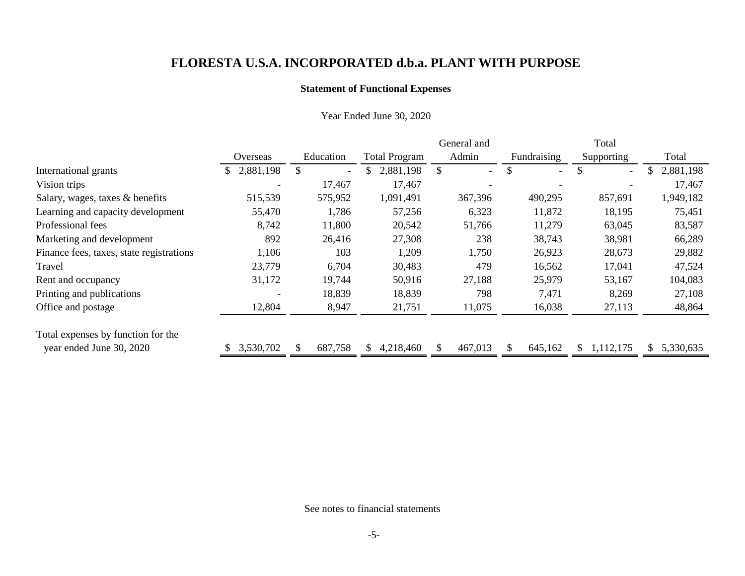# **Statement of Functional Expenses**

|                                          |                          |                                |                      | General and |                                | Total                          |                 |
|------------------------------------------|--------------------------|--------------------------------|----------------------|-------------|--------------------------------|--------------------------------|-----------------|
|                                          | Overseas                 | Education                      | <b>Total Program</b> | Admin       | Fundraising                    | Supporting                     | Total           |
| International grants                     | 2,881,198<br>\$          | \$<br>$\overline{\phantom{0}}$ | 2,881,198            | $ \,$       | \$<br>$\overline{\phantom{0}}$ | \$<br>$\overline{\phantom{a}}$ | 2,881,198<br>\$ |
| Vision trips                             |                          | 17,467                         | 17,467               |             |                                |                                | 17,467          |
| Salary, wages, taxes & benefits          | 515,539                  | 575,952                        | 1,091,491            | 367,396     | 490,295                        | 857,691                        | 1,949,182       |
| Learning and capacity development        | 55,470                   | 1,786                          | 57,256               | 6,323       | 11,872                         | 18,195                         | 75,451          |
| Professional fees                        | 8,742                    | 11,800                         | 20,542               | 51,766      | 11,279                         | 63,045                         | 83,587          |
| Marketing and development                | 892                      | 26,416                         | 27,308               | 238         | 38,743                         | 38,981                         | 66,289          |
| Finance fees, taxes, state registrations | 1,106                    | 103                            | 1,209                | 1,750       | 26,923                         | 28,673                         | 29,882          |
| Travel                                   | 23,779                   | 6,704                          | 30,483               | 479         | 16,562                         | 17,041                         | 47,524          |
| Rent and occupancy                       | 31,172                   | 19,744                         | 50,916               | 27,188      | 25,979                         | 53,167                         | 104,083         |
| Printing and publications                | $\overline{\phantom{a}}$ | 18,839                         | 18,839               | 798         | 7,471                          | 8,269                          | 27,108          |
| Office and postage                       | 12,804                   | 8,947                          | 21,751               | 11,075      | 16,038                         | 27,113                         | 48,864          |
| Total expenses by function for the       |                          |                                |                      |             |                                |                                |                 |
| year ended June 30, 2020                 | 3,530,702                | 687,758                        | 4,218,460            | 467,013     | \$.<br>645,162                 | 1,112,175<br>S.                | 5,330,635<br>S. |

# Year Ended June 30, 2020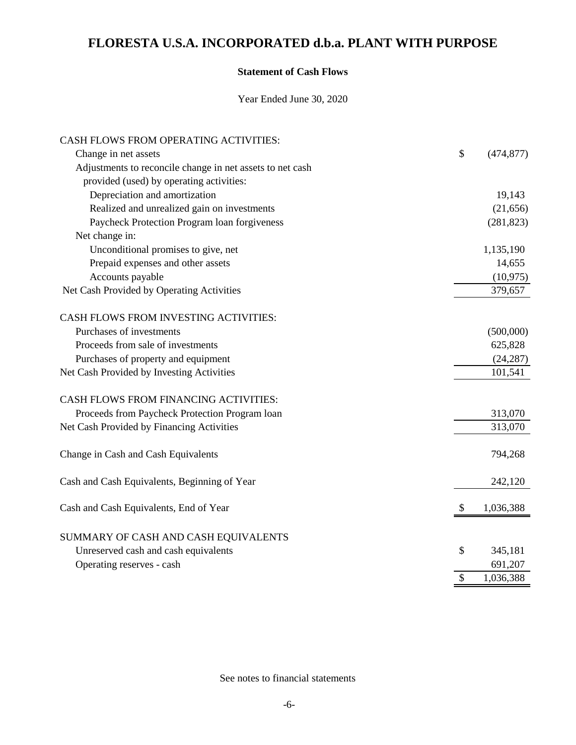# **Statement of Cash Flows**

Year Ended June 30, 2020

| CASH FLOWS FROM OPERATING ACTIVITIES:                     |                  |
|-----------------------------------------------------------|------------------|
| Change in net assets                                      | \$<br>(474, 877) |
| Adjustments to reconcile change in net assets to net cash |                  |
| provided (used) by operating activities:                  |                  |
| Depreciation and amortization                             | 19,143           |
| Realized and unrealized gain on investments               | (21, 656)        |
| Paycheck Protection Program loan forgiveness              | (281, 823)       |
| Net change in:                                            |                  |
| Unconditional promises to give, net                       | 1,135,190        |
| Prepaid expenses and other assets                         | 14,655           |
| Accounts payable                                          | (10, 975)        |
| Net Cash Provided by Operating Activities                 | 379,657          |
| CASH FLOWS FROM INVESTING ACTIVITIES:                     |                  |
| Purchases of investments                                  | (500,000)        |
| Proceeds from sale of investments                         | 625,828          |
| Purchases of property and equipment                       | (24, 287)        |
| Net Cash Provided by Investing Activities                 | 101,541          |
| CASH FLOWS FROM FINANCING ACTIVITIES:                     |                  |
| Proceeds from Paycheck Protection Program loan            | 313,070          |
| Net Cash Provided by Financing Activities                 | 313,070          |
| Change in Cash and Cash Equivalents                       | 794,268          |
| Cash and Cash Equivalents, Beginning of Year              | 242,120          |
| Cash and Cash Equivalents, End of Year                    | \$<br>1,036,388  |
| SUMMARY OF CASH AND CASH EQUIVALENTS                      |                  |
| Unreserved cash and cash equivalents                      | \$<br>345,181    |
| Operating reserves - cash                                 | 691,207          |
|                                                           | \$<br>1,036,388  |
|                                                           |                  |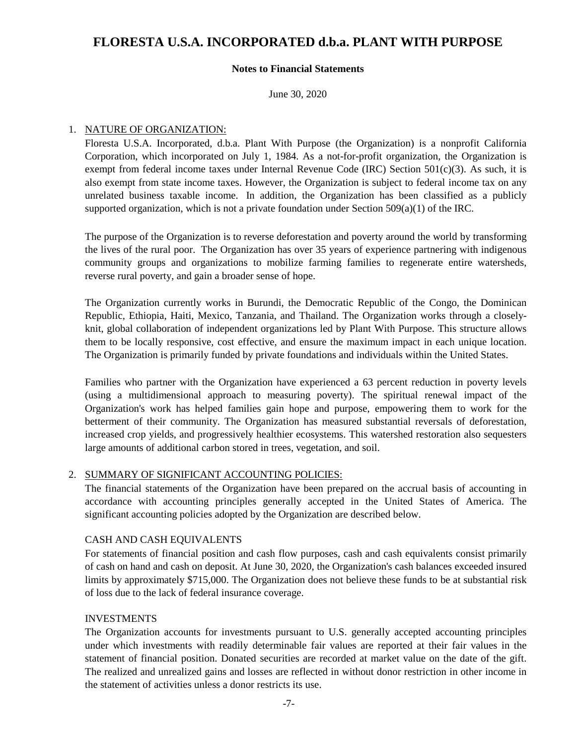### **Notes to Financial Statements**

June 30, 2020

### 1. NATURE OF ORGANIZATION:

Floresta U.S.A. Incorporated, d.b.a. Plant With Purpose (the Organization) is a nonprofit California Corporation, which incorporated on July 1, 1984. As a not-for-profit organization, the Organization is exempt from federal income taxes under Internal Revenue Code (IRC) Section 501(c)(3). As such, it is also exempt from state income taxes. However, the Organization is subject to federal income tax on any unrelated business taxable income. In addition, the Organization has been classified as a publicly supported organization, which is not a private foundation under Section  $509(a)(1)$  of the IRC.

The purpose of the Organization is to reverse deforestation and poverty around the world by transforming the lives of the rural poor. The Organization has over 35 years of experience partnering with indigenous community groups and organizations to mobilize farming families to regenerate entire watersheds, reverse rural poverty, and gain a broader sense of hope.

The Organization currently works in Burundi, the Democratic Republic of the Congo, the Dominican Republic, Ethiopia, Haiti, Mexico, Tanzania, and Thailand. The Organization works through a closelyknit, global collaboration of independent organizations led by Plant With Purpose. This structure allows them to be locally responsive, cost effective, and ensure the maximum impact in each unique location. The Organization is primarily funded by private foundations and individuals within the United States.

Families who partner with the Organization have experienced a 63 percent reduction in poverty levels (using a multidimensional approach to measuring poverty). The spiritual renewal impact of the Organization's work has helped families gain hope and purpose, empowering them to work for the betterment of their community. The Organization has measured substantial reversals of deforestation, increased crop yields, and progressively healthier ecosystems. This watershed restoration also sequesters large amounts of additional carbon stored in trees, vegetation, and soil.

# 2. SUMMARY OF SIGNIFICANT ACCOUNTING POLICIES:

The financial statements of the Organization have been prepared on the accrual basis of accounting in accordance with accounting principles generally accepted in the United States of America. The significant accounting policies adopted by the Organization are described below.

# CASH AND CASH EQUIVALENTS

For statements of financial position and cash flow purposes, cash and cash equivalents consist primarily of cash on hand and cash on deposit. At June 30, 2020, the Organization's cash balances exceeded insured limits by approximately \$715,000. The Organization does not believe these funds to be at substantial risk of loss due to the lack of federal insurance coverage.

### INVESTMENTS

The Organization accounts for investments pursuant to U.S. generally accepted accounting principles under which investments with readily determinable fair values are reported at their fair values in the statement of financial position. Donated securities are recorded at market value on the date of the gift. The realized and unrealized gains and losses are reflected in without donor restriction in other income in the statement of activities unless a donor restricts its use.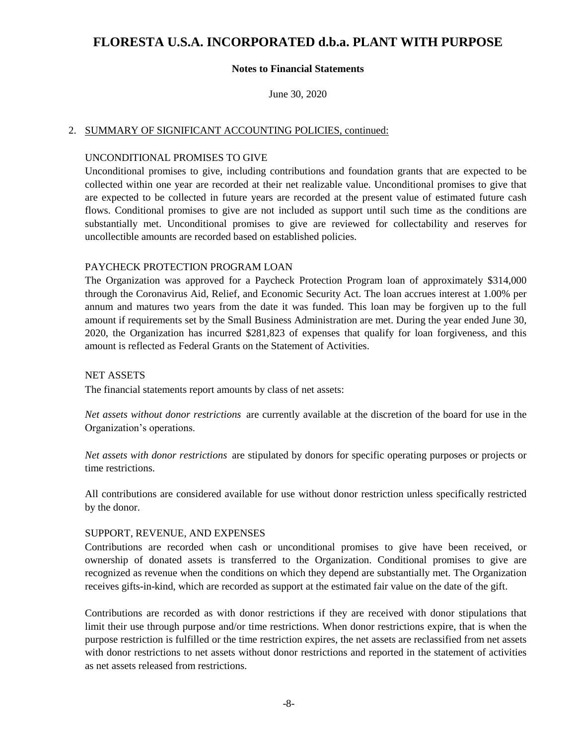### **Notes to Financial Statements**

June 30, 2020

#### 2. SUMMARY OF SIGNIFICANT ACCOUNTING POLICIES, continued:

#### UNCONDITIONAL PROMISES TO GIVE

Unconditional promises to give, including contributions and foundation grants that are expected to be collected within one year are recorded at their net realizable value. Unconditional promises to give that are expected to be collected in future years are recorded at the present value of estimated future cash flows. Conditional promises to give are not included as support until such time as the conditions are substantially met. Unconditional promises to give are reviewed for collectability and reserves for uncollectible amounts are recorded based on established policies.

#### PAYCHECK PROTECTION PROGRAM LOAN

The Organization was approved for a Paycheck Protection Program loan of approximately \$314,000 through the Coronavirus Aid, Relief, and Economic Security Act. The loan accrues interest at 1.00% per annum and matures two years from the date it was funded. This loan may be forgiven up to the full amount if requirements set by the Small Business Administration are met. During the year ended June 30, 2020, the Organization has incurred \$281,823 of expenses that qualify for loan forgiveness, and this amount is reflected as Federal Grants on the Statement of Activities.

#### NET ASSETS

The financial statements report amounts by class of net assets:

*Net assets without donor restrictions* are currently available at the discretion of the board for use in the Organization's operations.

*Net assets with donor restrictions* are stipulated by donors for specific operating purposes or projects or time restrictions.

All contributions are considered available for use without donor restriction unless specifically restricted by the donor.

#### SUPPORT, REVENUE, AND EXPENSES

Contributions are recorded when cash or unconditional promises to give have been received, or ownership of donated assets is transferred to the Organization. Conditional promises to give are recognized as revenue when the conditions on which they depend are substantially met. The Organization receives gifts-in-kind, which are recorded as support at the estimated fair value on the date of the gift.

Contributions are recorded as with donor restrictions if they are received with donor stipulations that limit their use through purpose and/or time restrictions. When donor restrictions expire, that is when the purpose restriction is fulfilled or the time restriction expires, the net assets are reclassified from net assets with donor restrictions to net assets without donor restrictions and reported in the statement of activities as net assets released from restrictions.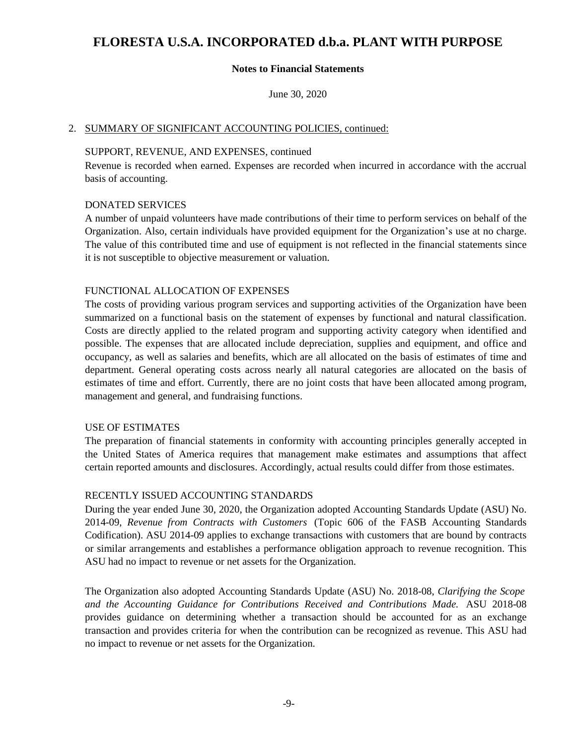# **Notes to Financial Statements**

June 30, 2020

# 2. SUMMARY OF SIGNIFICANT ACCOUNTING POLICIES, continued:

### SUPPORT, REVENUE, AND EXPENSES, continued

Revenue is recorded when earned. Expenses are recorded when incurred in accordance with the accrual basis of accounting.

### DONATED SERVICES

A number of unpaid volunteers have made contributions of their time to perform services on behalf of the Organization. Also, certain individuals have provided equipment for the Organization's use at no charge. The value of this contributed time and use of equipment is not reflected in the financial statements since it is not susceptible to objective measurement or valuation.

# FUNCTIONAL ALLOCATION OF EXPENSES

The costs of providing various program services and supporting activities of the Organization have been summarized on a functional basis on the statement of expenses by functional and natural classification. Costs are directly applied to the related program and supporting activity category when identified and possible. The expenses that are allocated include depreciation, supplies and equipment, and office and occupancy, as well as salaries and benefits, which are all allocated on the basis of estimates of time and department. General operating costs across nearly all natural categories are allocated on the basis of estimates of time and effort. Currently, there are no joint costs that have been allocated among program, management and general, and fundraising functions.

### USE OF ESTIMATES

The preparation of financial statements in conformity with accounting principles generally accepted in the United States of America requires that management make estimates and assumptions that affect certain reported amounts and disclosures. Accordingly, actual results could differ from those estimates.

# RECENTLY ISSUED ACCOUNTING STANDARDS

During the year ended June 30, 2020, the Organization adopted Accounting Standards Update (ASU) No. 2014-09, *Revenue from Contracts with Customers* (Topic 606 of the FASB Accounting Standards Codification). ASU 2014-09 applies to exchange transactions with customers that are bound by contracts or similar arrangements and establishes a performance obligation approach to revenue recognition. This ASU had no impact to revenue or net assets for the Organization.

The Organization also adopted Accounting Standards Update (ASU) No. 2018-08, *Clarifying the Scope and the Accounting Guidance for Contributions Received and Contributions Made.* ASU 2018-08 provides guidance on determining whether a transaction should be accounted for as an exchange transaction and provides criteria for when the contribution can be recognized as revenue. This ASU had no impact to revenue or net assets for the Organization.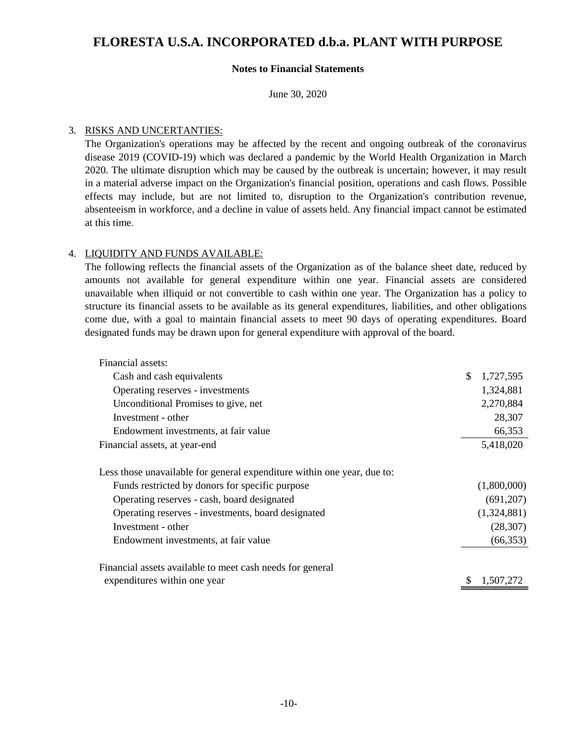# **Notes to Financial Statements**

June 30, 2020

### 3. RISKS AND UNCERTANTIES:

The Organization's operations may be affected by the recent and ongoing outbreak of the coronavirus disease 2019 (COVID-19) which was declared a pandemic by the World Health Organization in March 2020. The ultimate disruption which may be caused by the outbreak is uncertain; however, it may result in a material adverse impact on the Organization's financial position, operations and cash flows. Possible effects may include, but are not limited to, disruption to the Organization's contribution revenue, absenteeism in workforce, and a decline in value of assets held. Any financial impact cannot be estimated at this time.

# 4. LIQUIDITY AND FUNDS AVAILABLE:

The following reflects the financial assets of the Organization as of the balance sheet date, reduced by amounts not available for general expenditure within one year. Financial assets are considered unavailable when illiquid or not convertible to cash within one year. The Organization has a policy to structure its financial assets to be available as its general expenditures, liabilities, and other obligations come due, with a goal to maintain financial assets to meet 90 days of operating expenditures. Board designated funds may be drawn upon for general expenditure with approval of the board.

| Financial assets:                                                       |                 |
|-------------------------------------------------------------------------|-----------------|
| Cash and cash equivalents                                               | \$<br>1,727,595 |
| Operating reserves - investments                                        | 1,324,881       |
| Unconditional Promises to give, net                                     | 2,270,884       |
| Investment - other                                                      | 28,307          |
| Endowment investments, at fair value                                    | 66,353          |
| Financial assets, at year-end                                           | 5,418,020       |
| Less those unavailable for general expenditure within one year, due to: |                 |
| Funds restricted by donors for specific purpose                         | (1,800,000)     |
| Operating reserves - cash, board designated                             | (691, 207)      |
| Operating reserves - investments, board designated                      | (1,324,881)     |
| Investment - other                                                      | (28, 307)       |
| Endowment investments, at fair value                                    | (66, 353)       |
| Financial assets available to meet cash needs for general               |                 |
| expenditures within one year                                            | 1,507,272       |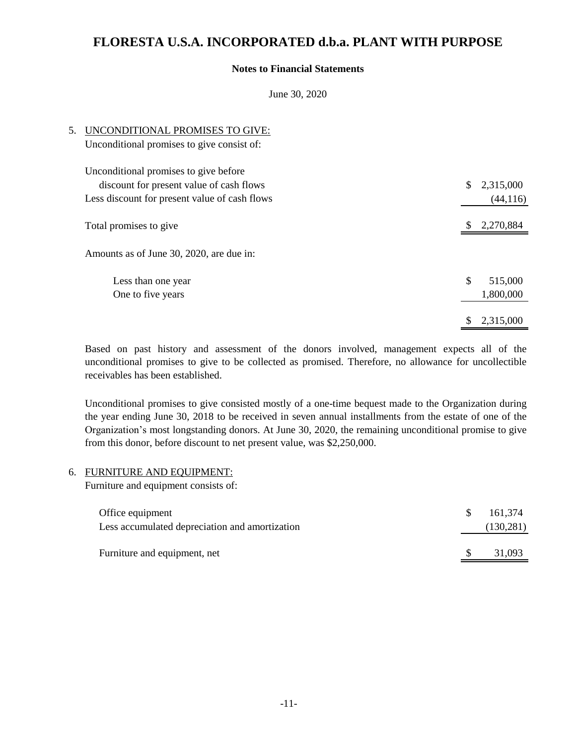# **Notes to Financial Statements**

June 30, 2020

| 5. | UNCONDITIONAL PROMISES TO GIVE:<br>Unconditional promises to give consist of:     |                 |
|----|-----------------------------------------------------------------------------------|-----------------|
|    | Unconditional promises to give before<br>discount for present value of cash flows | \$<br>2,315,000 |
|    | Less discount for present value of cash flows                                     | (44, 116)       |
|    | Total promises to give                                                            | 2,270,884       |
|    | Amounts as of June 30, 2020, are due in:                                          |                 |
|    | Less than one year                                                                | \$<br>515,000   |
|    | One to five years                                                                 | 1,800,000       |
|    |                                                                                   | 2,315,000       |

Based on past history and assessment of the donors involved, management expects all of the unconditional promises to give to be collected as promised. Therefore, no allowance for uncollectible receivables has been established.

Unconditional promises to give consisted mostly of a one-time bequest made to the Organization during the year ending June 30, 2018 to be received in seven annual installments from the estate of one of the Organization's most longstanding donors. At June 30, 2020, the remaining unconditional promise to give from this donor, before discount to net present value, was \$2,250,000.

### 6. FURNITURE AND EQUIPMENT:

Furniture and equipment consists of:

| Office equipment<br>Less accumulated depreciation and amortization | -S | 161.374<br>(130, 281) |
|--------------------------------------------------------------------|----|-----------------------|
| Furniture and equipment, net                                       |    | 31,093                |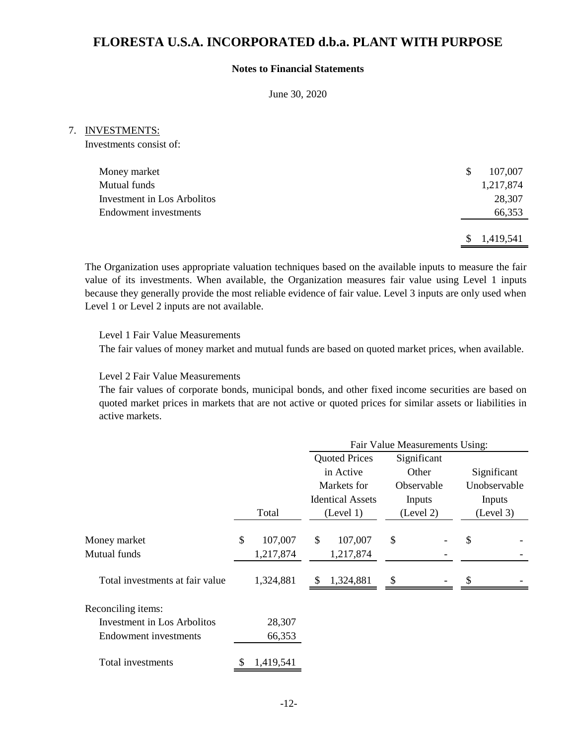# **Notes to Financial Statements**

June 30, 2020

#### 7. INVESTMENTS:

Investments consist of:

| Money market                       | S   | 107,007   |
|------------------------------------|-----|-----------|
| Mutual funds                       |     | 1,217,874 |
| <b>Investment in Los Arbolitos</b> |     | 28,307    |
| <b>Endowment</b> investments       |     | 66,353    |
|                                    |     |           |
|                                    | \$. | 1,419,541 |

The Organization uses appropriate valuation techniques based on the available inputs to measure the fair value of its investments. When available, the Organization measures fair value using Level 1 inputs because they generally provide the most reliable evidence of fair value. Level 3 inputs are only used when Level 1 or Level 2 inputs are not available.

Level 1 Fair Value Measurements

The fair values of money market and mutual funds are based on quoted market prices, when available.

Level 2 Fair Value Measurements

The fair values of corporate bonds, municipal bonds, and other fixed income securities are based on quoted market prices in markets that are not active or quoted prices for similar assets or liabilities in active markets.

|                                    |               | Fair Value Measurements Using: |                         |    |             |    |              |
|------------------------------------|---------------|--------------------------------|-------------------------|----|-------------|----|--------------|
|                                    |               |                                | <b>Quoted Prices</b>    |    | Significant |    |              |
|                                    |               |                                | in Active               |    | Other       |    | Significant  |
|                                    |               |                                | Markets for             |    | Observable  |    | Unobservable |
|                                    |               |                                | <b>Identical Assets</b> |    | Inputs      |    | Inputs       |
|                                    | Total         |                                | (Level 1)               |    | (Level 2)   |    | (Level 3)    |
| Money market                       | \$<br>107,007 | \$                             | 107,007                 | \$ |             | \$ |              |
| Mutual funds                       | 1,217,874     |                                | 1,217,874               |    |             |    |              |
| Total investments at fair value    | 1,324,881     | S                              | 1,324,881               | \$ |             |    |              |
| Reconciling items:                 |               |                                |                         |    |             |    |              |
| <b>Investment in Los Arbolitos</b> | 28,307        |                                |                         |    |             |    |              |
| Endowment investments              | 66,353        |                                |                         |    |             |    |              |
| Total investments                  | 1,419,541     |                                |                         |    |             |    |              |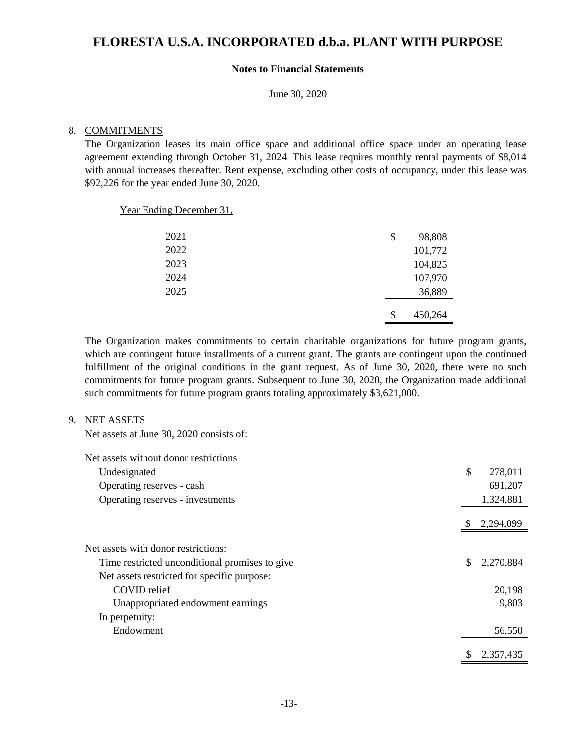# **Notes to Financial Statements**

June 30, 2020

#### 8. COMMITMENTS

The Organization leases its main office space and additional office space under an operating lease agreement extending through October 31, 2024. This lease requires monthly rental payments of \$8,014 with annual increases thereafter. Rent expense, excluding other costs of occupancy, under this lease was \$92,226 for the year ended June 30, 2020.

Year Ending December 31,

| 2021 | \$<br>98,808  |
|------|---------------|
| 2022 | 101,772       |
| 2023 | 104,825       |
| 2024 | 107,970       |
| 2025 | 36,889        |
|      |               |
|      | \$<br>450,264 |

The Organization makes commitments to certain charitable organizations for future program grants, which are contingent future installments of a current grant. The grants are contingent upon the continued fulfillment of the original conditions in the grant request. As of June 30, 2020, there were no such commitments for future program grants. Subsequent to June 30, 2020, the Organization made additional such commitments for future program grants totaling approximately \$3,621,000.

#### 9. NET ASSETS

Net assets at June 30, 2020 consists of:

| Net assets without donor restrictions          |    |           |
|------------------------------------------------|----|-----------|
| Undesignated                                   | \$ | 278,011   |
| Operating reserves - cash                      |    | 691,207   |
| Operating reserves - investments               |    | 1,324,881 |
|                                                |    | 2,294,099 |
| Net assets with donor restrictions:            |    |           |
| Time restricted unconditional promises to give | S  | 2,270,884 |
| Net assets restricted for specific purpose:    |    |           |
| COVID relief                                   |    | 20,198    |
| Unappropriated endowment earnings              |    | 9,803     |
| In perpetuity:                                 |    |           |
| Endowment                                      |    | 56,550    |
|                                                |    | 2,357,435 |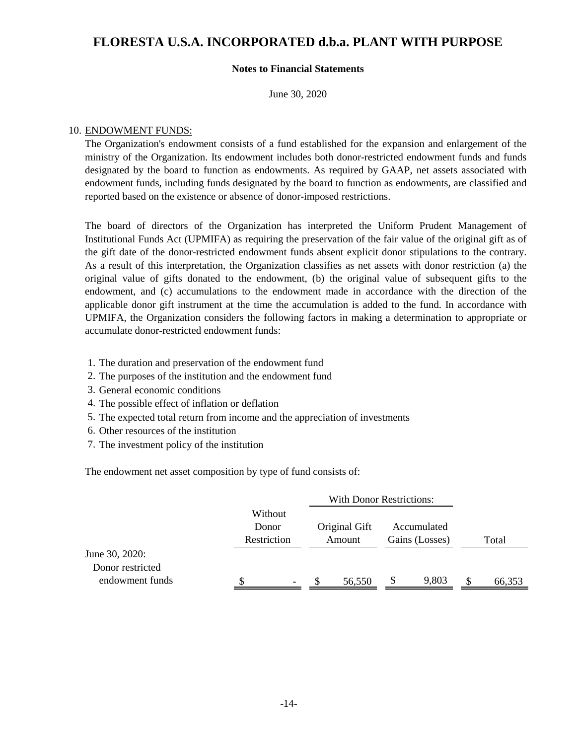### **Notes to Financial Statements**

June 30, 2020

### 10. ENDOWMENT FUNDS:

The Organization's endowment consists of a fund established for the expansion and enlargement of the ministry of the Organization. Its endowment includes both donor-restricted endowment funds and funds designated by the board to function as endowments. As required by GAAP, net assets associated with endowment funds, including funds designated by the board to function as endowments, are classified and reported based on the existence or absence of donor-imposed restrictions.

The board of directors of the Organization has interpreted the Uniform Prudent Management of Institutional Funds Act (UPMIFA) as requiring the preservation of the fair value of the original gift as of the gift date of the donor-restricted endowment funds absent explicit donor stipulations to the contrary. As a result of this interpretation, the Organization classifies as net assets with donor restriction (a) the original value of gifts donated to the endowment, (b) the original value of subsequent gifts to the endowment, and (c) accumulations to the endowment made in accordance with the direction of the applicable donor gift instrument at the time the accumulation is added to the fund. In accordance with UPMIFA, the Organization considers the following factors in making a determination to appropriate or accumulate donor-restricted endowment funds:

- 1. The duration and preservation of the endowment fund
- 2. The purposes of the institution and the endowment fund
- 3. General economic conditions
- 4. The possible effect of inflation or deflation
- 5. The expected total return from income and the appreciation of investments
- Other resources of the institution 6.
- 7. The investment policy of the institution

The endowment net asset composition by type of fund consists of:

|                  |                                 |   |                         | <b>With Donor Restrictions:</b> |                               |       |       |        |
|------------------|---------------------------------|---|-------------------------|---------------------------------|-------------------------------|-------|-------|--------|
|                  | Without<br>Donor<br>Restriction |   | Original Gift<br>Amount |                                 | Accumulated<br>Gains (Losses) |       |       |        |
|                  |                                 |   |                         |                                 |                               |       | Total |        |
| June 30, 2020:   |                                 |   |                         |                                 |                               |       |       |        |
| Donor restricted |                                 |   |                         |                                 |                               |       |       |        |
| endowment funds  | \$                              | - |                         | 56,550                          | <sup>S</sup>                  | 9,803 |       | 66,353 |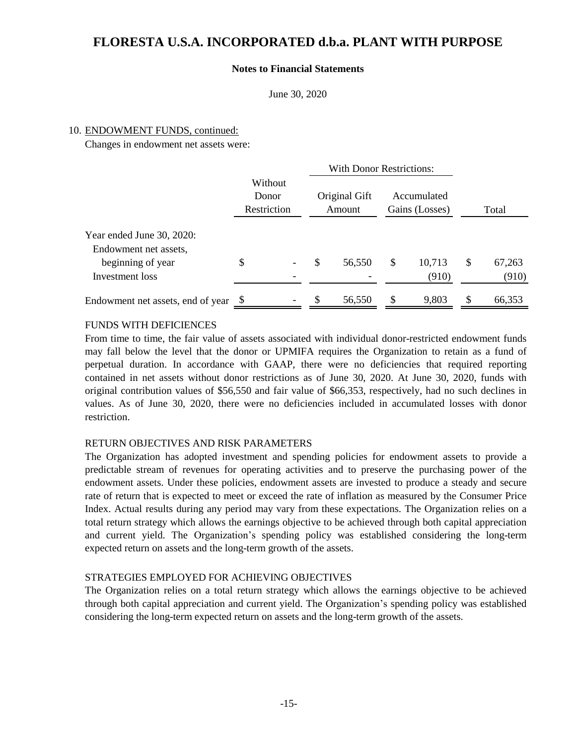### **Notes to Financial Statements**

June 30, 2020

#### 10. ENDOWMENT FUNDS, continued:

Changes in endowment net assets were:

|                                                                         |                                 |   | <b>With Donor Restrictions:</b> |        |                               |        |       |        |
|-------------------------------------------------------------------------|---------------------------------|---|---------------------------------|--------|-------------------------------|--------|-------|--------|
|                                                                         | Without<br>Donor<br>Restriction |   | Original Gift<br>Amount         |        | Accumulated<br>Gains (Losses) |        | Total |        |
| Year ended June 30, 2020:<br>Endowment net assets,<br>beginning of year | \$                              | - | \$                              | 56,550 | \$                            | 10,713 | \$    | 67,263 |
| Investment loss                                                         |                                 |   |                                 |        |                               | (910)  |       | (910)  |
| Endowment net assets, end of year                                       |                                 |   |                                 | 56,550 | \$                            | 9,803  |       | 66,353 |

# FUNDS WITH DEFICIENCES

From time to time, the fair value of assets associated with individual donor-restricted endowment funds may fall below the level that the donor or UPMIFA requires the Organization to retain as a fund of perpetual duration. In accordance with GAAP, there were no deficiencies that required reporting contained in net assets without donor restrictions as of June 30, 2020. At June 30, 2020, funds with original contribution values of \$56,550 and fair value of \$66,353, respectively, had no such declines in values. As of June 30, 2020, there were no deficiencies included in accumulated losses with donor restriction.

### RETURN OBJECTIVES AND RISK PARAMETERS

The Organization has adopted investment and spending policies for endowment assets to provide a predictable stream of revenues for operating activities and to preserve the purchasing power of the endowment assets. Under these policies, endowment assets are invested to produce a steady and secure rate of return that is expected to meet or exceed the rate of inflation as measured by the Consumer Price Index. Actual results during any period may vary from these expectations. The Organization relies on a total return strategy which allows the earnings objective to be achieved through both capital appreciation and current yield. The Organization's spending policy was established considering the long-term expected return on assets and the long-term growth of the assets.

# STRATEGIES EMPLOYED FOR ACHIEVING OBJECTIVES

The Organization relies on a total return strategy which allows the earnings objective to be achieved through both capital appreciation and current yield. The Organization's spending policy was established considering the long-term expected return on assets and the long-term growth of the assets.